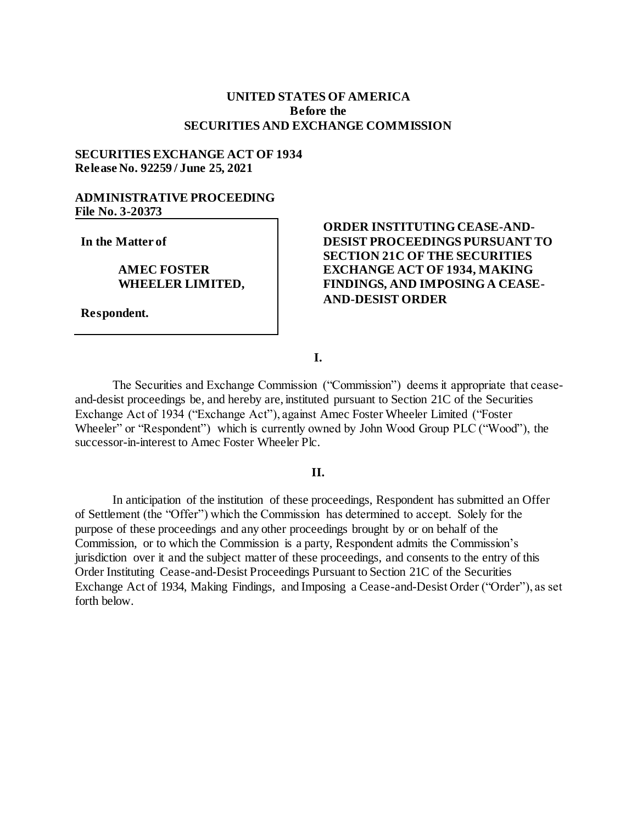# **UNITED STATES OF AMERICA Before the SECURITIES AND EXCHANGE COMMISSION**

## **SECURITIES EXCHANGE ACT OF 1934 Release No. 92259 / June 25, 2021**

# **ADMINISTRATIVE PROCEEDING File No. 3-20373**

**In the Matter of**

## **AMEC FOSTER WHEELER LIMITED,**

**Respondent.**

# **ORDER INSTITUTING CEASE-AND-DESIST PROCEEDINGS PURSUANT TO SECTION 21C OF THE SECURITIES EXCHANGE ACT OF 1934, MAKING FINDINGS, AND IMPOSING A CEASE-AND-DESIST ORDER**

**I.**

The Securities and Exchange Commission ("Commission") deems it appropriate that ceaseand-desist proceedings be, and hereby are, instituted pursuant to Section 21C of the Securities Exchange Act of 1934 ("Exchange Act"), against Amec Foster Wheeler Limited ("Foster Wheeler" or "Respondent") which is currently owned by John Wood Group PLC ("Wood"), the successor-in-interest to Amec Foster Wheeler Plc.

#### **II.**

In anticipation of the institution of these proceedings, Respondent has submitted an Offer of Settlement (the "Offer") which the Commission has determined to accept. Solely for the purpose of these proceedings and any other proceedings brought by or on behalf of the Commission, or to which the Commission is a party, Respondent admits the Commission's jurisdiction over it and the subject matter of these proceedings, and consents to the entry of this Order Instituting Cease-and-Desist Proceedings Pursuant to Section 21C of the Securities Exchange Act of 1934, Making Findings, and Imposing a Cease-and-Desist Order ("Order"), as set forth below.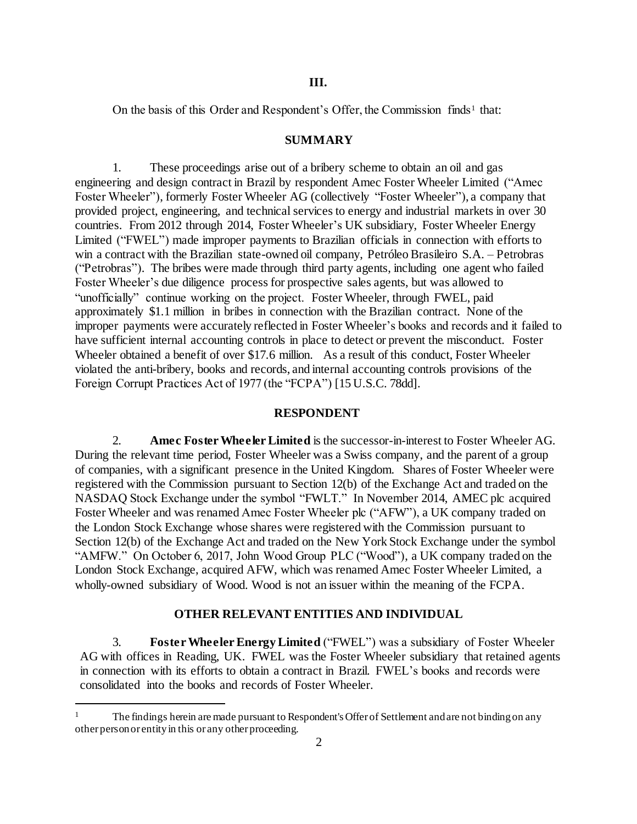On the basis of this Order and Respondent's Offer, the Commission finds<sup>1</sup> that:

#### **SUMMARY**

1. These proceedings arise out of a bribery scheme to obtain an oil and gas engineering and design contract in Brazil by respondent Amec Foster Wheeler Limited ("Amec Foster Wheeler"), formerly Foster Wheeler AG (collectively "Foster Wheeler"), a company that provided project, engineering, and technical services to energy and industrial markets in over 30 countries. From 2012 through 2014, Foster Wheeler's UK subsidiary, Foster Wheeler Energy Limited ("FWEL") made improper payments to Brazilian officials in connection with efforts to win a contract with the Brazilian state-owned oil company, Petróleo Brasileiro S.A. – Petrobras ("Petrobras"). The bribes were made through third party agents, including one agent who failed Foster Wheeler's due diligence process for prospective sales agents, but was allowed to "unofficially" continue working on the project. Foster Wheeler, through FWEL, paid approximately \$1.1 million in bribes in connection with the Brazilian contract. None of the improper payments were accurately reflected in Foster Wheeler's books and records and it failed to have sufficient internal accounting controls in place to detect or prevent the misconduct. Foster Wheeler obtained a benefit of over \$17.6 million. As a result of this conduct, Foster Wheeler violated the anti-bribery, books and records, and internal accounting controls provisions of the Foreign Corrupt Practices Act of 1977 (the "FCPA") [15 U.S.C. 78dd].

#### **RESPONDENT**

2. **Amec Foster Wheeler Limited** is the successor-in-interest to Foster Wheeler AG. During the relevant time period, Foster Wheeler was a Swiss company, and the parent of a group of companies, with a significant presence in the United Kingdom. Shares of Foster Wheeler were registered with the Commission pursuant to Section 12(b) of the Exchange Act and traded on the NASDAQ Stock Exchange under the symbol "FWLT." In November 2014, AMEC plc acquired Foster Wheeler and was renamed Amec Foster Wheeler plc ("AFW"), a UK company traded on the London Stock Exchange whose shares were registered with the Commission pursuant to Section 12(b) of the Exchange Act and traded on the New York Stock Exchange under the symbol "AMFW." On October 6, 2017, John Wood Group PLC ("Wood"), a UK company traded on the London Stock Exchange, acquired AFW, which was renamed Amec Foster Wheeler Limited, a wholly-owned subsidiary of Wood. Wood is not an issuer within the meaning of the FCPA.

#### **OTHER RELEVANT ENTITIES AND INDIVIDUAL**

3. **Foster Wheeler Energy Limited** ("FWEL") was a subsidiary of Foster Wheeler AG with offices in Reading, UK. FWEL was the Foster Wheeler subsidiary that retained agents in connection with its efforts to obtain a contract in Brazil. FWEL's books and records were consolidated into the books and records of Foster Wheeler.

l

<sup>1</sup> The findings herein are made pursuant to Respondent's Offer of Settlement and are not binding on any other person or entity in this or any other proceeding.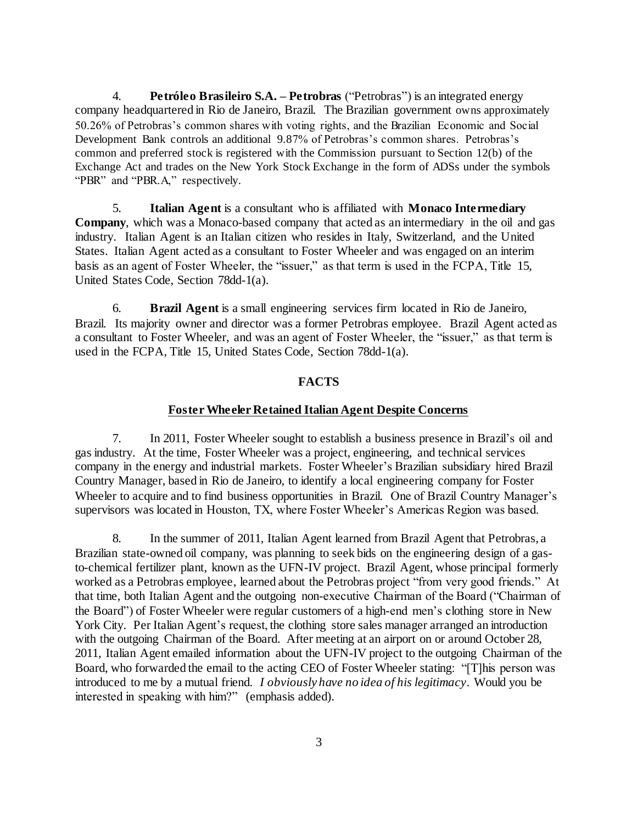4. **Petróleo Brasileiro S.A. – Petrobras** ("Petrobras") is an integrated energy company headquartered in Rio de Janeiro, Brazil. The Brazilian government owns approximately 50.26% of Petrobras's common shares with voting rights, and the Brazilian Economic and Social Development Bank controls an additional 9.87% of Petrobras's common shares. Petrobras's common and preferred stock is registered with the Commission pursuant to Section 12(b) of the Exchange Act and trades on the New York Stock Exchange in the form of ADSs under the symbols "PBR" and "PBR.A," respectively.

5. **Italian Agent** is a consultant who is affiliated with **Monaco Intermediary Company**, which was a Monaco-based company that acted as an intermediary in the oil and gas industry. Italian Agent is an Italian citizen who resides in Italy, Switzerland, and the United States. Italian Agent acted as a consultant to Foster Wheeler and was engaged on an interim basis as an agent of Foster Wheeler, the "issuer," as that term is used in the FCPA, Title 15, United States Code, Section 78dd-1(a).

6. **Brazil Agent** is a small engineering services firm located in Rio de Janeiro, Brazil. Its majority owner and director was a former Petrobras employee. Brazil Agent acted as a consultant to Foster Wheeler, and was an agent of Foster Wheeler, the "issuer," as that term is used in the FCPA, Title 15, United States Code, Section 78dd-1(a).

## **FACTS**

#### **Foster Wheeler Retained Italian Agent Despite Concerns**

7. In 2011, Foster Wheeler sought to establish a business presence in Brazil's oil and gas industry. At the time, Foster Wheeler was a project, engineering, and technical services company in the energy and industrial markets. Foster Wheeler's Brazilian subsidiary hired Brazil Country Manager, based in Rio de Janeiro, to identify a local engineering company for Foster Wheeler to acquire and to find business opportunities in Brazil. One of Brazil Country Manager's supervisors was located in Houston, TX, where Foster Wheeler's Americas Region was based.

8. In the summer of 2011, Italian Agent learned from Brazil Agent that Petrobras, a Brazilian state-owned oil company, was planning to seek bids on the engineering design of a gasto-chemical fertilizer plant, known as the UFN-IV project. Brazil Agent, whose principal formerly worked as a Petrobras employee, learned about the Petrobras project "from very good friends." At that time, both Italian Agent and the outgoing non-executive Chairman of the Board ("Chairman of the Board") of Foster Wheeler were regular customers of a high-end men's clothing store in New York City. Per Italian Agent's request, the clothing store sales manager arranged an introduction with the outgoing Chairman of the Board. After meeting at an airport on or around October 28, 2011, Italian Agent emailed information about the UFN-IV project to the outgoing Chairman of the Board, who forwarded the email to the acting CEO of Foster Wheeler stating: "[T]his person was introduced to me by a mutual friend. *I obviously have no idea of his legitimacy*. Would you be interested in speaking with him?" (emphasis added).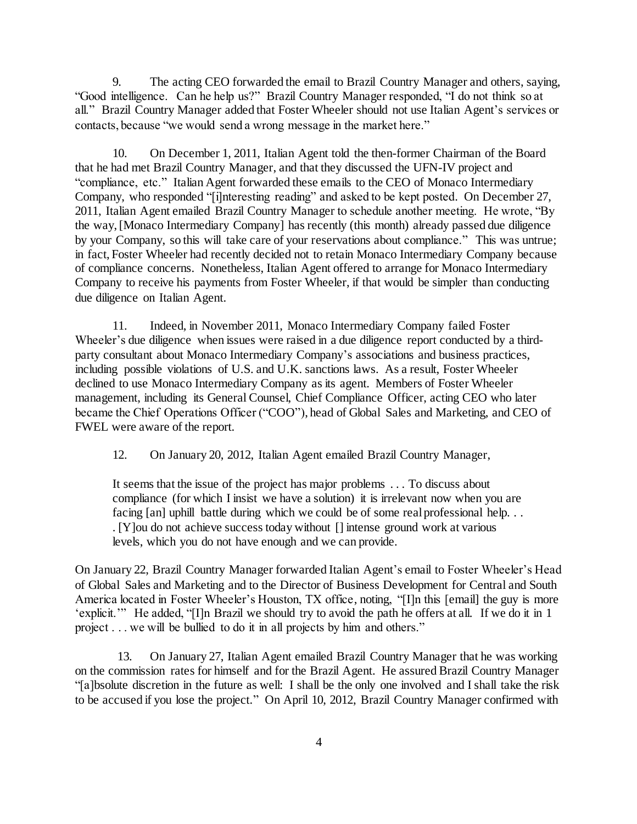9. The acting CEO forwarded the email to Brazil Country Manager and others, saying, "Good intelligence. Can he help us?" Brazil Country Manager responded, "I do not think so at all." Brazil Country Manager added that Foster Wheeler should not use Italian Agent's services or contacts, because "we would send a wrong message in the market here."

10. On December 1, 2011, Italian Agent told the then-former Chairman of the Board that he had met Brazil Country Manager, and that they discussed the UFN-IV project and "compliance, etc." Italian Agent forwarded these emails to the CEO of Monaco Intermediary Company, who responded "[i]nteresting reading" and asked to be kept posted. On December 27, 2011, Italian Agent emailed Brazil Country Manager to schedule another meeting. He wrote, "By the way, [Monaco Intermediary Company] has recently (this month) already passed due diligence by your Company, so this will take care of your reservations about compliance." This was untrue; in fact, Foster Wheeler had recently decided not to retain Monaco Intermediary Company because of compliance concerns. Nonetheless, Italian Agent offered to arrange for Monaco Intermediary Company to receive his payments from Foster Wheeler, if that would be simpler than conducting due diligence on Italian Agent.

11. Indeed, in November 2011, Monaco Intermediary Company failed Foster Wheeler's due diligence when issues were raised in a due diligence report conducted by a thirdparty consultant about Monaco Intermediary Company's associations and business practices, including possible violations of U.S. and U.K. sanctions laws. As a result, Foster Wheeler declined to use Monaco Intermediary Company as its agent. Members of Foster Wheeler management, including its General Counsel, Chief Compliance Officer, acting CEO who later became the Chief Operations Officer ("COO"), head of Global Sales and Marketing, and CEO of FWEL were aware of the report.

12. On January 20, 2012, Italian Agent emailed Brazil Country Manager,

It seems that the issue of the project has major problems . . . To discuss about compliance (for which I insist we have a solution) it is irrelevant now when you are facing [an] uphill battle during which we could be of some real professional help. . . . [Y]ou do not achieve success today without [] intense ground work at various levels, which you do not have enough and we can provide.

On January 22, Brazil Country Manager forwarded Italian Agent's email to Foster Wheeler's Head of Global Sales and Marketing and to the Director of Business Development for Central and South America located in Foster Wheeler's Houston, TX office, noting, "[I]n this [email] the guy is more 'explicit.'" He added, "[I]n Brazil we should try to avoid the path he offers at all. If we do it in 1 project . . . we will be bullied to do it in all projects by him and others."

13. On January 27, Italian Agent emailed Brazil Country Manager that he was working on the commission rates for himself and for the Brazil Agent. He assured Brazil Country Manager "[a]bsolute discretion in the future as well: I shall be the only one involved and I shall take the risk to be accused if you lose the project." On April 10, 2012, Brazil Country Manager confirmed with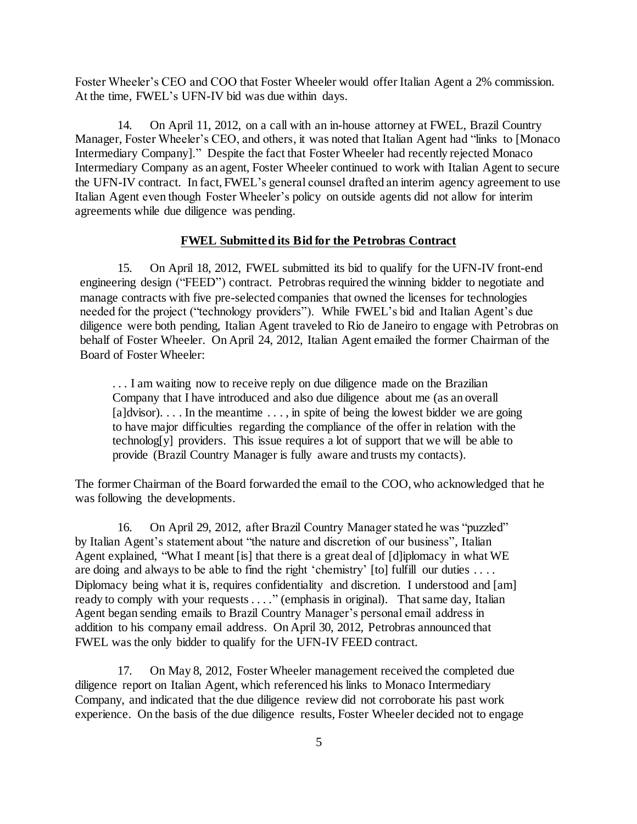Foster Wheeler's CEO and COO that Foster Wheeler would offer Italian Agent a 2% commission. At the time, FWEL's UFN-IV bid was due within days.

14. On April 11, 2012, on a call with an in-house attorney at FWEL, Brazil Country Manager, Foster Wheeler's CEO, and others, it was noted that Italian Agent had "links to [Monaco Intermediary Company]." Despite the fact that Foster Wheeler had recently rejected Monaco Intermediary Company as an agent, Foster Wheeler continued to work with Italian Agent to secure the UFN-IV contract. In fact, FWEL's general counsel drafted an interim agency agreement to use Italian Agent even though Foster Wheeler's policy on outside agents did not allow for interim agreements while due diligence was pending.

#### **FWEL Submitted its Bid for the Petrobras Contract**

15. On April 18, 2012, FWEL submitted its bid to qualify for the UFN-IV front-end engineering design ("FEED") contract. Petrobras required the winning bidder to negotiate and manage contracts with five pre-selected companies that owned the licenses for technologies needed for the project ("technology providers"). While FWEL's bid and Italian Agent's due diligence were both pending, Italian Agent traveled to Rio de Janeiro to engage with Petrobras on behalf of Foster Wheeler. On April 24, 2012, Italian Agent emailed the former Chairman of the Board of Foster Wheeler:

... I am waiting now to receive reply on due diligence made on the Brazilian Company that I have introduced and also due diligence about me (as an overall  $[a]$ dvisor).... In the meantime ..., in spite of being the lowest bidder we are going to have major difficulties regarding the compliance of the offer in relation with the technolog[y] providers. This issue requires a lot of support that we will be able to provide (Brazil Country Manager is fully aware and trusts my contacts).

The former Chairman of the Board forwarded the email to the COO, who acknowledged that he was following the developments.

16. On April 29, 2012, after Brazil Country Manager stated he was "puzzled" by Italian Agent's statement about "the nature and discretion of our business", Italian Agent explained, "What I meant [is] that there is a great deal of [d]iplomacy in what WE are doing and always to be able to find the right 'chemistry' [to] fulfill our duties . . . . Diplomacy being what it is, requires confidentiality and discretion. I understood and [am] ready to comply with your requests . . . ." (emphasis in original). That same day, Italian Agent began sending emails to Brazil Country Manager's personal email address in addition to his company email address. On April 30, 2012, Petrobras announced that FWEL was the only bidder to qualify for the UFN-IV FEED contract.

17. On May 8, 2012, Foster Wheeler management received the completed due diligence report on Italian Agent, which referenced his links to Monaco Intermediary Company, and indicated that the due diligence review did not corroborate his past work experience. On the basis of the due diligence results, Foster Wheeler decided not to engage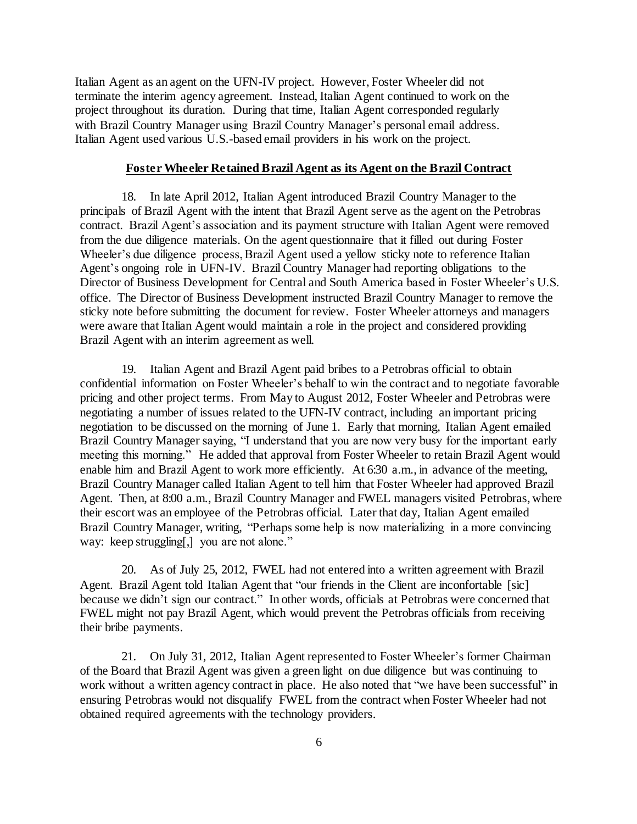Italian Agent as an agent on the UFN-IV project. However, Foster Wheeler did not terminate the interim agency agreement. Instead, Italian Agent continued to work on the project throughout its duration. During that time, Italian Agent corresponded regularly with Brazil Country Manager using Brazil Country Manager's personal email address. Italian Agent used various U.S.-based email providers in his work on the project.

### **Foster Wheeler Retained Brazil Agent as its Agent on the Brazil Contract**

18. In late April 2012, Italian Agent introduced Brazil Country Manager to the principals of Brazil Agent with the intent that Brazil Agent serve as the agent on the Petrobras contract. Brazil Agent's association and its payment structure with Italian Agent were removed from the due diligence materials. On the agent questionnaire that it filled out during Foster Wheeler's due diligence process, Brazil Agent used a yellow sticky note to reference Italian Agent's ongoing role in UFN-IV. Brazil Country Manager had reporting obligations to the Director of Business Development for Central and South America based in Foster Wheeler's U.S. office. The Director of Business Development instructed Brazil Country Manager to remove the sticky note before submitting the document for review. Foster Wheeler attorneys and managers were aware that Italian Agent would maintain a role in the project and considered providing Brazil Agent with an interim agreement as well.

19. Italian Agent and Brazil Agent paid bribes to a Petrobras official to obtain confidential information on Foster Wheeler's behalf to win the contract and to negotiate favorable pricing and other project terms. From May to August 2012, Foster Wheeler and Petrobras were negotiating a number of issues related to the UFN-IV contract, including an important pricing negotiation to be discussed on the morning of June 1. Early that morning, Italian Agent emailed Brazil Country Manager saying, "I understand that you are now very busy for the important early meeting this morning." He added that approval from Foster Wheeler to retain Brazil Agent would enable him and Brazil Agent to work more efficiently. At 6:30 a.m., in advance of the meeting, Brazil Country Manager called Italian Agent to tell him that Foster Wheeler had approved Brazil Agent. Then, at 8:00 a.m., Brazil Country Manager and FWEL managers visited Petrobras, where their escort was an employee of the Petrobras official. Later that day, Italian Agent emailed Brazil Country Manager, writing, "Perhaps some help is now materializing in a more convincing way: keep struggling[,] you are not alone."

20. As of July 25, 2012, FWEL had not entered into a written agreement with Brazil Agent. Brazil Agent told Italian Agent that "our friends in the Client are inconfortable [sic] because we didn't sign our contract." In other words, officials at Petrobras were concerned that FWEL might not pay Brazil Agent, which would prevent the Petrobras officials from receiving their bribe payments.

21. On July 31, 2012, Italian Agent represented to Foster Wheeler's former Chairman of the Board that Brazil Agent was given a green light on due diligence but was continuing to work without a written agency contract in place. He also noted that "we have been successful" in ensuring Petrobras would not disqualify FWEL from the contract when Foster Wheeler had not obtained required agreements with the technology providers.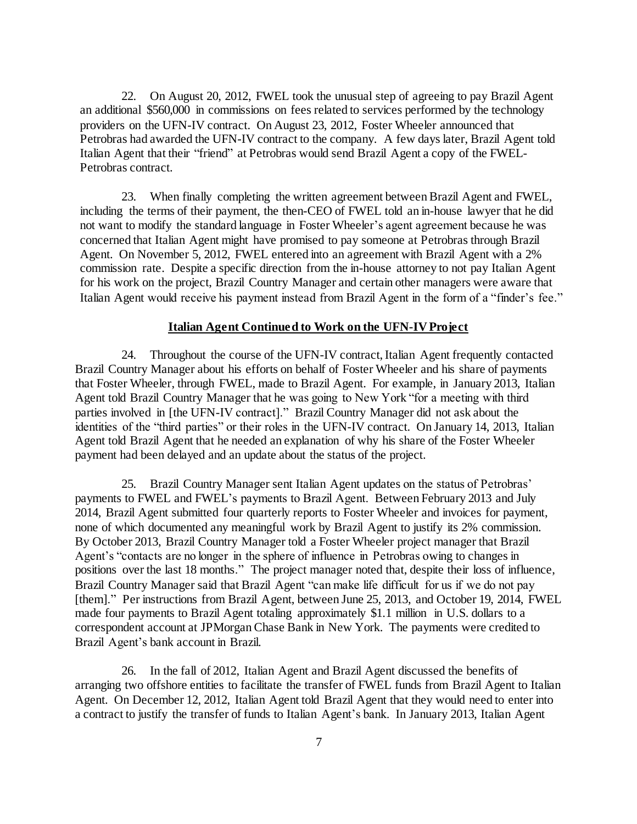22. On August 20, 2012, FWEL took the unusual step of agreeing to pay Brazil Agent an additional \$560,000 in commissions on fees related to services performed by the technology providers on the UFN-IV contract. On August 23, 2012, Foster Wheeler announced that Petrobras had awarded the UFN-IV contract to the company. A few days later, Brazil Agent told Italian Agent that their "friend" at Petrobras would send Brazil Agent a copy of the FWEL-Petrobras contract.

23. When finally completing the written agreement between Brazil Agent and FWEL, including the terms of their payment, the then-CEO of FWEL told an in-house lawyer that he did not want to modify the standard language in Foster Wheeler's agent agreement because he was concerned that Italian Agent might have promised to pay someone at Petrobras through Brazil Agent. On November 5, 2012, FWEL entered into an agreement with Brazil Agent with a 2% commission rate. Despite a specific direction from the in-house attorney to not pay Italian Agent for his work on the project, Brazil Country Manager and certain other managers were aware that Italian Agent would receive his payment instead from Brazil Agent in the form of a "finder's fee."

## **Italian Agent Continued to Work on the UFN-IV Project**

24. Throughout the course of the UFN-IV contract, Italian Agent frequently contacted Brazil Country Manager about his efforts on behalf of Foster Wheeler and his share of payments that Foster Wheeler, through FWEL, made to Brazil Agent. For example, in January 2013, Italian Agent told Brazil Country Manager that he was going to New York "for a meeting with third parties involved in [the UFN-IV contract]." Brazil Country Manager did not ask about the identities of the "third parties" or their roles in the UFN-IV contract. On January 14, 2013, Italian Agent told Brazil Agent that he needed an explanation of why his share of the Foster Wheeler payment had been delayed and an update about the status of the project.

25. Brazil Country Manager sent Italian Agent updates on the status of Petrobras' payments to FWEL and FWEL's payments to Brazil Agent. Between February 2013 and July 2014, Brazil Agent submitted four quarterly reports to Foster Wheeler and invoices for payment, none of which documented any meaningful work by Brazil Agent to justify its 2% commission. By October 2013, Brazil Country Manager told a Foster Wheeler project manager that Brazil Agent's "contacts are no longer in the sphere of influence in Petrobras owing to changes in positions over the last 18 months." The project manager noted that, despite their loss of influence, Brazil Country Manager said that Brazil Agent "can make life difficult for us if we do not pay [them]." Per instructions from Brazil Agent, between June 25, 2013, and October 19, 2014, FWEL made four payments to Brazil Agent totaling approximately \$1.1 million in U.S. dollars to a correspondent account at JPMorgan Chase Bank in New York. The payments were credited to Brazil Agent's bank account in Brazil.

26. In the fall of 2012, Italian Agent and Brazil Agent discussed the benefits of arranging two offshore entities to facilitate the transfer of FWEL funds from Brazil Agent to Italian Agent. On December 12, 2012, Italian Agent told Brazil Agent that they would need to enter into a contract to justify the transfer of funds to Italian Agent's bank. In January 2013, Italian Agent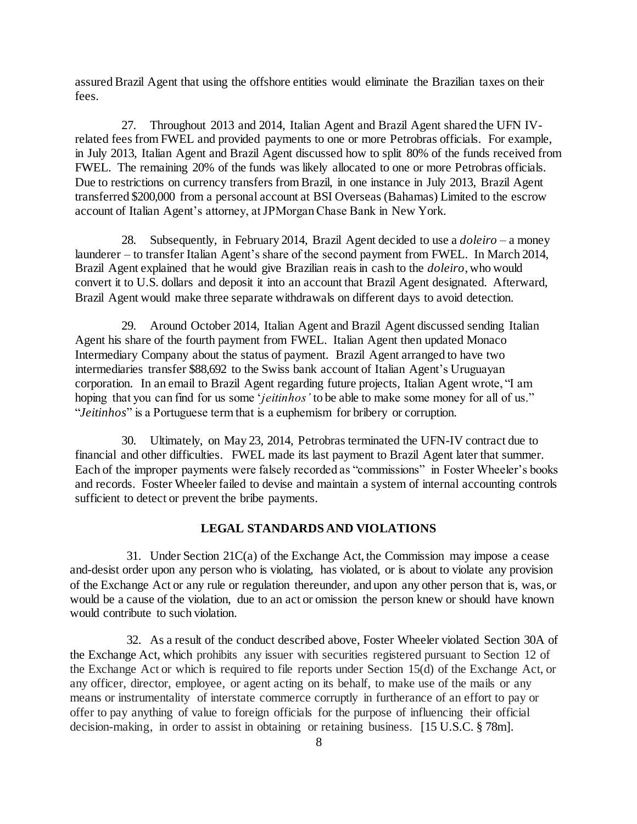assured Brazil Agent that using the offshore entities would eliminate the Brazilian taxes on their fees.

27. Throughout 2013 and 2014, Italian Agent and Brazil Agent shared the UFN IVrelated fees from FWEL and provided payments to one or more Petrobras officials. For example, in July 2013, Italian Agent and Brazil Agent discussed how to split 80% of the funds received from FWEL. The remaining 20% of the funds was likely allocated to one or more Petrobras officials. Due to restrictions on currency transfers from Brazil, in one instance in July 2013, Brazil Agent transferred \$200,000 from a personal account at BSI Overseas (Bahamas) Limited to the escrow account of Italian Agent's attorney, at JPMorgan Chase Bank in New York.

28. Subsequently, in February 2014, Brazil Agent decided to use a *doleiro* – a money launderer – to transfer Italian Agent's share of the second payment from FWEL. In March 2014, Brazil Agent explained that he would give Brazilian reais in cash to the *doleiro*, who would convert it to U.S. dollars and deposit it into an account that Brazil Agent designated. Afterward, Brazil Agent would make three separate withdrawals on different days to avoid detection.

29. Around October 2014, Italian Agent and Brazil Agent discussed sending Italian Agent his share of the fourth payment from FWEL. Italian Agent then updated Monaco Intermediary Company about the status of payment. Brazil Agent arranged to have two intermediaries transfer \$88,692 to the Swiss bank account of Italian Agent's Uruguayan corporation. In an email to Brazil Agent regarding future projects, Italian Agent wrote, "I am hoping that you can find for us some '*jeitinhos'* to be able to make some money for all of us." "*Jeitinhos*" is a Portuguese term that is a euphemism for bribery or corruption.

30. Ultimately, on May 23, 2014, Petrobras terminated the UFN-IV contract due to financial and other difficulties. FWEL made its last payment to Brazil Agent later that summer. Each of the improper payments were falsely recorded as "commissions" in Foster Wheeler's books and records. Foster Wheeler failed to devise and maintain a system of internal accounting controls sufficient to detect or prevent the bribe payments.

## **LEGAL STANDARDS AND VIOLATIONS**

31. Under Section 21C(a) of the Exchange Act, the Commission may impose a cease and-desist order upon any person who is violating, has violated, or is about to violate any provision of the Exchange Act or any rule or regulation thereunder, and upon any other person that is, was, or would be a cause of the violation, due to an act or omission the person knew or should have known would contribute to such violation.

32. As a result of the conduct described above, Foster Wheeler violated Section 30A of the Exchange Act, which prohibits any issuer with securities registered pursuant to Section 12 of the Exchange Act or which is required to file reports under Section 15(d) of the Exchange Act, or any officer, director, employee, or agent acting on its behalf, to make use of the mails or any means or instrumentality of interstate commerce corruptly in furtherance of an effort to pay or offer to pay anything of value to foreign officials for the purpose of influencing their official decision-making, in order to assist in obtaining or retaining business. [15 U.S.C. § 78m].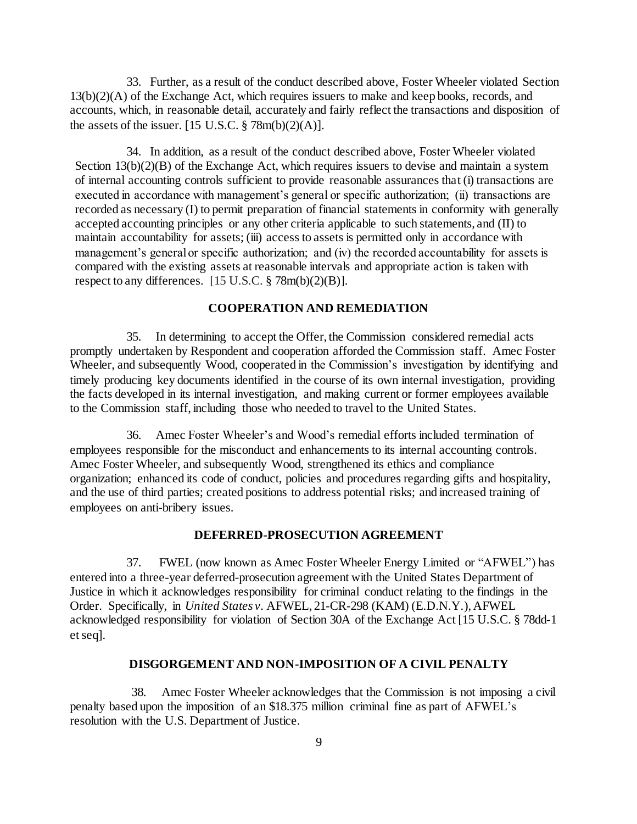33. Further, as a result of the conduct described above, Foster Wheeler violated Section  $13(b)(2)(A)$  of the Exchange Act, which requires issuers to make and keep books, records, and accounts, which, in reasonable detail, accurately and fairly reflect the transactions and disposition of the assets of the issuer. [15 U.S.C.  $\frac{8}{3}$  78m(b)(2)(A)].

34. In addition, as a result of the conduct described above, Foster Wheeler violated Section 13(b)(2)(B) of the Exchange Act, which requires issuers to devise and maintain a system of internal accounting controls sufficient to provide reasonable assurances that (i) transactions are executed in accordance with management's general or specific authorization; (ii) transactions are recorded as necessary (I) to permit preparation of financial statements in conformity with generally accepted accounting principles or any other criteria applicable to such statements, and (II) to maintain accountability for assets; (iii) access to assets is permitted only in accordance with management's general or specific authorization; and (iv) the recorded accountability for assets is compared with the existing assets at reasonable intervals and appropriate action is taken with respect to any differences. [15 U.S.C. § 78m(b)(2)(B)].

## **COOPERATION AND REMEDIATION**

35. In determining to accept the Offer, the Commission considered remedial acts promptly undertaken by Respondent and cooperation afforded the Commission staff*.* Amec Foster Wheeler, and subsequently Wood, cooperated in the Commission's investigation by identifying and timely producing key documents identified in the course of its own internal investigation, providing the facts developed in its internal investigation, and making current or former employees available to the Commission staff, including those who needed to travel to the United States.

36. Amec Foster Wheeler's and Wood's remedial efforts included termination of employees responsible for the misconduct and enhancements to its internal accounting controls. Amec Foster Wheeler, and subsequently Wood, strengthened its ethics and compliance organization; enhanced its code of conduct, policies and procedures regarding gifts and hospitality, and the use of third parties; created positions to address potential risks; and increased training of employees on anti-bribery issues.

#### **DEFERRED-PROSECUTION AGREEMENT**

37. FWEL (now known as Amec Foster Wheeler Energy Limited or "AFWEL") has entered into a three-year deferred-prosecution agreement with the United States Department of Justice in which it acknowledges responsibility for criminal conduct relating to the findings in the Order. Specifically, in *United States v.* AFWEL, 21-CR-298 (KAM) (E.D.N.Y.), AFWEL acknowledged responsibility for violation of Section 30A of the Exchange Act [15 U.S.C. § 78dd-1 et seq].

## **DISGORGEMENT AND NON-IMPOSITION OF A CIVIL PENALTY**

38. Amec Foster Wheeler acknowledges that the Commission is not imposing a civil penalty based upon the imposition of an \$18.375 million criminal fine as part of AFWEL's resolution with the U.S. Department of Justice.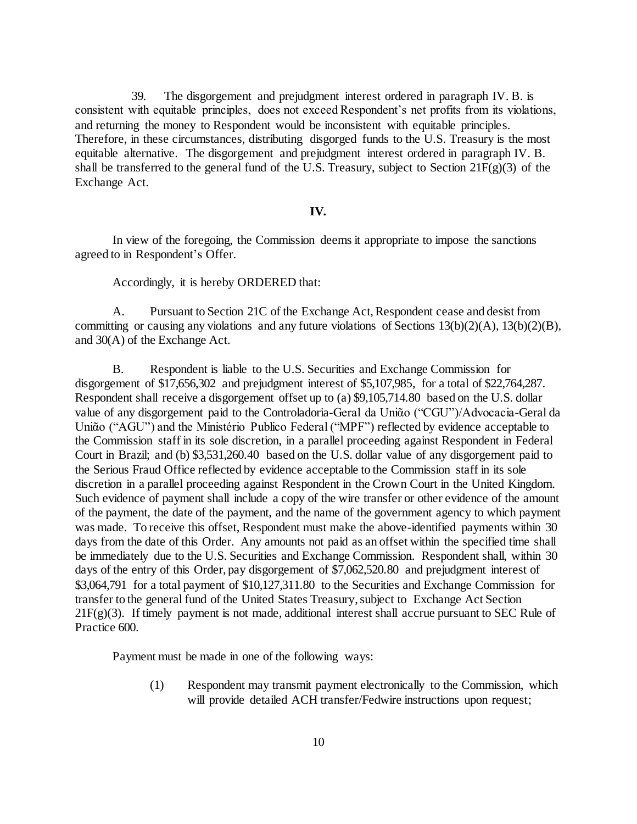39. The disgorgement and prejudgment interest ordered in paragraph IV. B. is consistent with equitable principles, does not exceed Respondent's net profits from its violations, and returning the money to Respondent would be inconsistent with equitable principles. Therefore, in these circumstances, distributing disgorged funds to the U.S. Treasury is the most equitable alternative. The disgorgement and prejudgment interest ordered in paragraph IV. B. shall be transferred to the general fund of the U.S. Treasury, subject to Section 21F(g)(3) of the Exchange Act.

#### **IV.**

In view of the foregoing, the Commission deems it appropriate to impose the sanctions agreed to in Respondent's Offer.

Accordingly, it is hereby ORDERED that:

A. Pursuant to Section 21C of the Exchange Act, Respondent cease and desist from committing or causing any violations and any future violations of Sections 13(b)(2)(A), 13(b)(2)(B), and 30(A) of the Exchange Act.

B. Respondent is liable to the U.S. Securities and Exchange Commission for disgorgement of \$17,656,302 and prejudgment interest of \$5,107,985, for a total of \$22,764,287. Respondent shall receive a disgorgement offset up to (a) \$9,105,714.80 based on the U.S. dollar value of any disgorgement paid to the Controladoria-Geral da Uniᾶo ("CGU")/Advocacia-Geral da Uniᾶo ("AGU") and the Ministério Publico Federal ("MPF") reflected by evidence acceptable to the Commission staff in its sole discretion, in a parallel proceeding against Respondent in Federal Court in Brazil; and (b) \$3,531,260.40 based on the U.S. dollar value of any disgorgement paid to the Serious Fraud Office reflected by evidence acceptable to the Commission staff in its sole discretion in a parallel proceeding against Respondent in the Crown Court in the United Kingdom. Such evidence of payment shall include a copy of the wire transfer or other evidence of the amount of the payment, the date of the payment, and the name of the government agency to which payment was made. To receive this offset, Respondent must make the above-identified payments within 30 days from the date of this Order. Any amounts not paid as an offset within the specified time shall be immediately due to the U.S. Securities and Exchange Commission. Respondent shall, within 30 days of the entry of this Order, pay disgorgement of \$7,062,520.80 and prejudgment interest of \$3,064,791 for a total payment of \$10,127,311.80 to the Securities and Exchange Commission for transfer to the general fund of the United States Treasury, subject to Exchange Act Section  $21F(g)(3)$ . If timely payment is not made, additional interest shall accrue pursuant to SEC Rule of Practice 600.

Payment must be made in one of the following ways:

(1) Respondent may transmit payment electronically to the Commission, which will provide detailed ACH transfer/Fedwire instructions upon request;